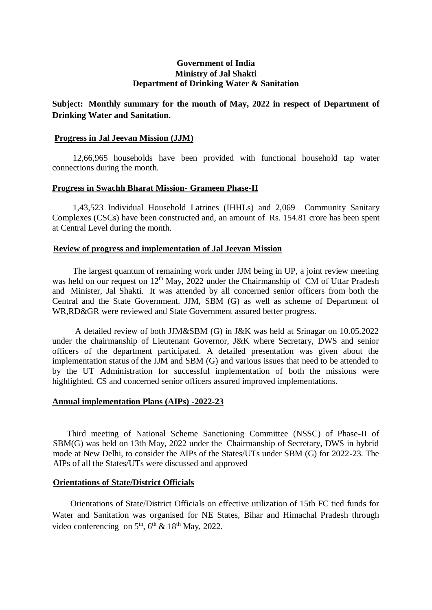## **Government of India Ministry of Jal Shakti Department of Drinking Water & Sanitation**

# **Subject: Monthly summary for the month of May, 2022 in respect of Department of Drinking Water and Sanitation.**

### **Progress in Jal Jeevan Mission (JJM)**

12,66,965 households have been provided with functional household tap water connections during the month.

### **Progress in Swachh Bharat Mission- Grameen Phase-II**

1,43,523 Individual Household Latrines (IHHLs) and 2,069 Community Sanitary Complexes (CSCs) have been constructed and, an amount of Rs. 154.81 crore has been spent at Central Level during the month.

### **Review of progress and implementation of Jal Jeevan Mission**

The largest quantum of remaining work under JJM being in UP, a joint review meeting was held on our request on 12<sup>th</sup> May, 2022 under the Chairmanship of CM of Uttar Pradesh and Minister, Jal Shakti. It was attended by all concerned senior officers from both the Central and the State Government. JJM, SBM (G) as well as scheme of Department of WR,RD&GR were reviewed and State Government assured better progress.

A detailed review of both JJM&SBM (G) in J&K was held at Srinagar on 10.05.2022 under the chairmanship of Lieutenant Governor, J&K where Secretary, DWS and senior officers of the department participated. A detailed presentation was given about the implementation status of the JJM and SBM (G) and various issues that need to be attended to by the UT Administration for successful implementation of both the missions were highlighted. CS and concerned senior officers assured improved implementations.

### **Annual implementation Plans (AIPs) -2022-23**

Third meeting of National Scheme Sanctioning Committee (NSSC) of Phase-II of SBM(G) was held on 13th May, 2022 under the Chairmanship of Secretary, DWS in hybrid mode at New Delhi, to consider the AIPs of the States/UTs under SBM (G) for 2022-23. The AIPs of all the States/UTs were discussed and approved

#### **Orientations of State/District Officials**

Orientations of State/District Officials on effective utilization of 15th FC tied funds for Water and Sanitation was organised for NE States, Bihar and Himachal Pradesh through video conferencing on  $5<sup>th</sup>$ ,  $6<sup>th</sup>$  &  $18<sup>th</sup>$  May, 2022.